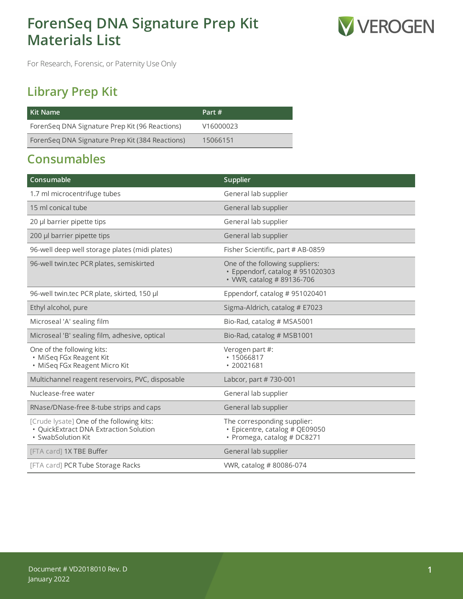# **ForenSeq DNA Signature Prep Kit Materials List**



For Research, Forensic, or Paternity Use Only

## **Library Prep Kit**

| Kit Name                                        | Part #    |
|-------------------------------------------------|-----------|
| ForenSeq DNA Signature Prep Kit (96 Reactions)  | V16000023 |
| ForenSeq DNA Signature Prep Kit (384 Reactions) | 15066151  |

## **Consumables**

| Consumable                                                                                                | Supplier                                                                                          |
|-----------------------------------------------------------------------------------------------------------|---------------------------------------------------------------------------------------------------|
| 1.7 ml microcentrifuge tubes                                                                              | General lab supplier                                                                              |
| 15 ml conical tube                                                                                        | General lab supplier                                                                              |
| 20 µl barrier pipette tips                                                                                | General lab supplier                                                                              |
| 200 µl barrier pipette tips                                                                               | General lab supplier                                                                              |
| 96-well deep well storage plates (midi plates)                                                            | Fisher Scientific, part # AB-0859                                                                 |
| 96-well twin.tec PCR plates, semiskirted                                                                  | One of the following suppliers:<br>· Eppendorf, catalog # 951020303<br>• VWR, catalog # 89136-706 |
| 96-well twin.tec PCR plate, skirted, 150 µl                                                               | Eppendorf, catalog # 951020401                                                                    |
| Ethyl alcohol, pure                                                                                       | Sigma-Aldrich, catalog # E7023                                                                    |
| Microseal 'A' sealing film                                                                                | Bio-Rad, catalog # MSA5001                                                                        |
| Microseal 'B' sealing film, adhesive, optical                                                             | Bio-Rad, catalog # MSB1001                                                                        |
| One of the following kits:<br>· MiSeq FGx Reagent Kit<br>· MiSeq FGx Reagent Micro Kit                    | Verogen part #:<br>$* 15066817$<br>• 20021681                                                     |
| Multichannel reagent reservoirs, PVC, disposable                                                          | Labcor, part #730-001                                                                             |
| Nuclease-free water                                                                                       | General lab supplier                                                                              |
| RNase/DNase-free 8-tube strips and caps                                                                   | General lab supplier                                                                              |
| [Crude lysate] One of the following kits:<br>· QuickExtract DNA Extraction Solution<br>· SwabSolution Kit | The corresponding supplier:<br>· Epicentre, catalog # QE09050<br>• Promega, catalog # DC8271      |
| [FTA card] 1X TBE Buffer                                                                                  | General lab supplier                                                                              |
| [FTA card] PCR Tube Storage Racks                                                                         | VWR, catalog #80086-074                                                                           |